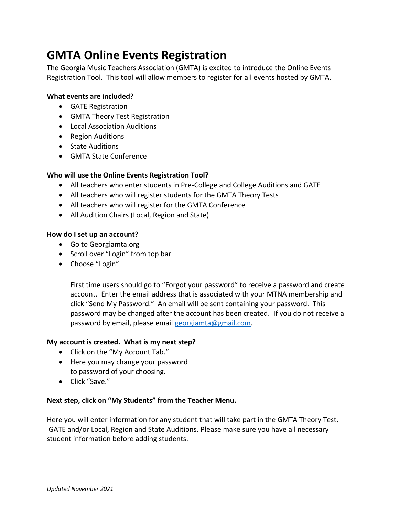# **GMTA Online Events Registration**

The Georgia Music Teachers Association (GMTA) is excited to introduce the Online Events Registration Tool. This tool will allow members to register for all events hosted by GMTA.

#### **What events are included?**

- GATE Registration
- GMTA Theory Test Registration
- Local Association Auditions
- Region Auditions
- State Auditions
- GMTA State Conference

#### **Who will use the Online Events Registration Tool?**

- All teachers who enter students in Pre-College and College Auditions and GATE
- All teachers who will register students for the GMTA Theory Tests
- All teachers who will register for the GMTA Conference
- All Audition Chairs (Local, Region and State)

#### **How do I set up an account?**

- Go to Georgiamta.org
- Scroll over "Login" from top bar
- Choose "Login"

First time users should go to "Forgot your password" to receive a password and create account. Enter the email address that is associated with your MTNA membership and click "Send My Password." An email will be sent containing your password. This password may be changed after the account has been created. If you do not receive a password by email, please email [georgiamta@gmail.com.](mailto:georgiamta@gmail.com)

#### **My account is created. What is my next step?**

- Click on the "My Account Tab."
- Here you may change your password to password of your choosing.
- Click "Save."

#### **Next step, click on "My Students" from the Teacher Menu.**

Here you will enter information for any student that will take part in the GMTA Theory Test, GATE and/or Local, Region and State Auditions. Please make sure you have all necessary student information before adding students.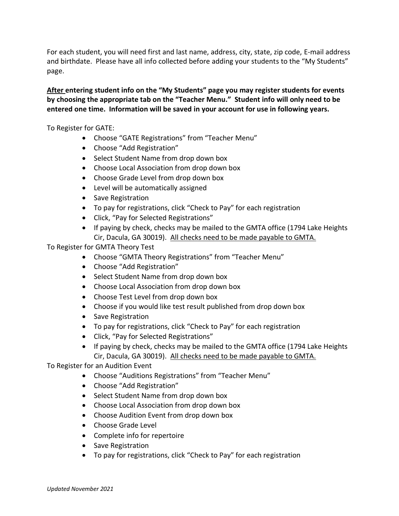For each student, you will need first and last name, address, city, state, zip code, E-mail address and birthdate. Please have all info collected before adding your students to the "My Students" page.

#### **After entering student info on the "My Students" page you may register students for events by choosing the appropriate tab on the "Teacher Menu." Student info will only need to be entered one time. Information will be saved in your account for use in following years.**

To Register for GATE:

- Choose "GATE Registrations" from "Teacher Menu"
- Choose "Add Registration"
- Select Student Name from drop down box
- Choose Local Association from drop down box
- Choose Grade Level from drop down box
- Level will be automatically assigned
- Save Registration
- To pay for registrations, click "Check to Pay" for each registration
- Click, "Pay for Selected Registrations"
- If paying by check, checks may be mailed to the GMTA office (1794 Lake Heights Cir, Dacula, GA 30019). All checks need to be made payable to GMTA.

To Register for GMTA Theory Test

- Choose "GMTA Theory Registrations" from "Teacher Menu"
- Choose "Add Registration"
- Select Student Name from drop down box
- Choose Local Association from drop down box
- Choose Test Level from drop down box
- Choose if you would like test result published from drop down box
- Save Registration
- To pay for registrations, click "Check to Pay" for each registration
- Click, "Pay for Selected Registrations"
- If paying by check, checks may be mailed to the GMTA office (1794 Lake Heights Cir, Dacula, GA 30019). All checks need to be made payable to GMTA.

To Register for an Audition Event

- Choose "Auditions Registrations" from "Teacher Menu"
- Choose "Add Registration"
- Select Student Name from drop down box
- Choose Local Association from drop down box
- Choose Audition Event from drop down box
- Choose Grade Level
- Complete info for repertoire
- Save Registration
- To pay for registrations, click "Check to Pay" for each registration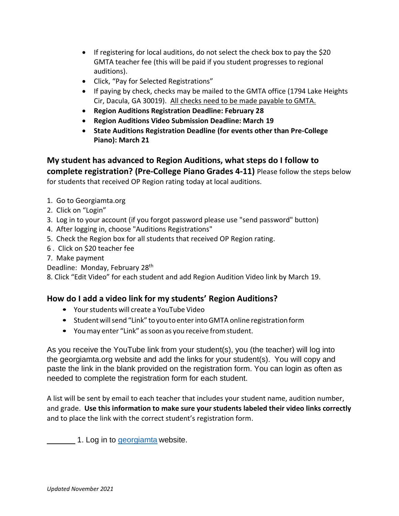- If registering for local auditions, do not select the check box to pay the \$20 GMTA teacher fee (this will be paid if you student progresses to regional auditions).
- Click, "Pay for Selected Registrations"
- If paying by check, checks may be mailed to the GMTA office (1794 Lake Heights Cir, Dacula, GA 30019). All checks need to be made payable to GMTA.
- **Region Auditions Registration Deadline: February 28**
- **Region Auditions Video Submission Deadline: March 19**
- **State Auditions Registration Deadline (for events other than Pre-College Piano): March 21**

# **My student has advanced to Region Auditions, what steps do I follow to**

**complete registration? (Pre-College Piano Grades 4-11)** Please follow the steps below for students that received OP Region rating today at local auditions.

- 1. Go to Georgiamta.org
- 2. Click on "Login"
- 3. Log in to your account (if you forgot password please use "send password" button)
- 4. After logging in, choose "Auditions Registrations"
- 5. Check the Region box for all students that received OP Region rating.
- 6 . Click on \$20 teacher fee
- 7. Make payment
- Deadline: Monday, February 28<sup>th</sup>

8. Click "Edit Video" for each student and add Region Audition Video link by March 19.

## **How do I add a video link for my students' Region Auditions?**

- Yourstudents will create a YouTube Video
- Studentwillsend "Link" toyoutoenterintoGMTA online registrationform
- Youmay enter "Link" assoon as you receive fromstudent.

As you receive the YouTube link from your student(s), you (the teacher) will log into the georgiamta.org website and add the links for your student(s). You will copy and paste the link in the blank provided on the registration form. You can login as often as needed to complete the registration form for each student.

A list will be sent by email to each teacher that includes your student name, audition number, and grade. **Use this information to make sure your students labeled their video links correctly** and to place the link with the correct student's registration form.

1. Log in to *georgiamta* website.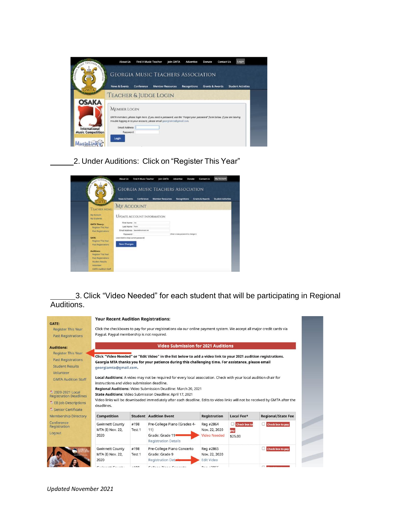| NUSIC TEACHERS                | About Us                                         | Find A Music Teacher |                                                                                                                                                                                                 | Join GMTA | Advertise           | Donate                     | Contact Us |                           | Login |
|-------------------------------|--------------------------------------------------|----------------------|-------------------------------------------------------------------------------------------------------------------------------------------------------------------------------------------------|-----------|---------------------|----------------------------|------------|---------------------------|-------|
|                               |                                                  |                      | <b>GEORGIA MUSIC TEACHERS ASSOCIATION</b>                                                                                                                                                       |           |                     |                            |            |                           |       |
|                               | <b>News &amp; Events</b>                         | Conference           | <b>Member Resources</b>                                                                                                                                                                         |           | <b>Recognitions</b> | <b>Grants &amp; Awards</b> |            | <b>Student Activities</b> |       |
|                               |                                                  |                      | <b>TEACHER &amp; JUDGE LOGIN</b>                                                                                                                                                                |           |                     |                            |            |                           |       |
| <b>OSAKA</b><br>International | <b>MEMBER LOGIN</b><br>Email Address<br>Password |                      | GMTA members, please login here. If you need a password, use the "Forgot your password" form below. If you are having<br>trouble logging in to your account, please email georgiamta@gmail.com. |           |                     |                            |            |                           |       |

2. Under Auditions: Click on "Register This Year"



3. Click "Video Needed" for each student that will be participating in Regional Auditions.

|                                                    | <b>Your Recent Audition Registrations:</b>                                                                                                                                                                                                                                                     |        |                                                                                                                             |                        |              |                           |
|----------------------------------------------------|------------------------------------------------------------------------------------------------------------------------------------------------------------------------------------------------------------------------------------------------------------------------------------------------|--------|-----------------------------------------------------------------------------------------------------------------------------|------------------------|--------------|---------------------------|
| GATE:<br><b>Register This Year</b>                 |                                                                                                                                                                                                                                                                                                |        | Click the checkboxes to pay for your registrations via our online payment system. We accept all major credit cards via      |                        |              |                           |
| <b>Past Registrations</b>                          | Paypal. Paypal membership is not required.                                                                                                                                                                                                                                                     |        |                                                                                                                             |                        |              |                           |
| <b>Auditions:</b>                                  |                                                                                                                                                                                                                                                                                                |        | <b>Video Submission for 2021 Auditions</b>                                                                                  |                        |              |                           |
| <b>Register This Year</b>                          |                                                                                                                                                                                                                                                                                                |        | Click "Video Needed" or "Edit Video" in the list below to add a video link to your 2021 audition registrations.             |                        |              |                           |
| <b>Past Registrations</b>                          |                                                                                                                                                                                                                                                                                                |        | Georgia MTA thanks you for your patience during this challenging time. For assistance, please email                         |                        |              |                           |
| <b>Student Results</b>                             | georgiamta@gmail.com.                                                                                                                                                                                                                                                                          |        |                                                                                                                             |                        |              |                           |
| Volunteer                                          |                                                                                                                                                                                                                                                                                                |        |                                                                                                                             |                        |              |                           |
| <b>GMTA Audition Staff</b>                         | instructions and video submission deadline.                                                                                                                                                                                                                                                    |        | Local Auditions: A video may not be required for every local association. Check with your local audition chair for          |                        |              |                           |
| ₹ 2020-2021 Local<br><b>Registration Deadlines</b> |                                                                                                                                                                                                                                                                                                |        | Regional Auditions: Video Submission Deadline: March 20, 2021<br>State Auditions: Video Submission Deadline: April 17, 2021 |                        |              |                           |
| <b>EB Job Descriptions</b>                         |                                                                                                                                                                                                                                                                                                |        | Video links will be downloaded immediately after each deadline. Edits to video links will not be received by GMTA after the |                        |              |                           |
| <sup>2</sup> Senior Certificate                    | deadlines.                                                                                                                                                                                                                                                                                     |        |                                                                                                                             |                        |              |                           |
| <b>Membership Directory</b>                        | <b>Competition</b>                                                                                                                                                                                                                                                                             |        | <b>Student Audition Event</b>                                                                                               | <b>Registration</b>    | Local Fee*   | <b>Regional/State Fee</b> |
| Conference<br>Registration                         | <b>Gwinnett County</b>                                                                                                                                                                                                                                                                         | #198   | Pre-College Piano (Grades 4-                                                                                                | Reg #2864              | Check box to | Check box to pay          |
| Logout                                             | MTA (I) Nov. 22,                                                                                                                                                                                                                                                                               | Test 1 | 11)                                                                                                                         | Nov. 22, 2020          | pay          |                           |
|                                                    | 2020                                                                                                                                                                                                                                                                                           |        | Grade: Grade 11<br><b>Registration Details</b>                                                                              | <b>Video Needed</b>    | \$25.00      |                           |
|                                                    | <b>Gwinnett County</b>                                                                                                                                                                                                                                                                         | #198   | Pre-College Piano Concerto                                                                                                  | Reg #2865              |              | Check box to pay          |
|                                                    | MTA (I) Nov. 22,                                                                                                                                                                                                                                                                               | Test 1 | Grade: Grade 9                                                                                                              | Nov. 22, 2020          |              |                           |
|                                                    | 2020                                                                                                                                                                                                                                                                                           |        | Registration Deta                                                                                                           | <b>Edit Video</b>      |              |                           |
|                                                    | $C$ $\mathbb{R}$ and $\mathbb{R}$ and $\mathbb{R}$ and $\mathbb{R}$ and $\mathbb{R}$ and $\mathbb{R}$ and $\mathbb{R}$ and $\mathbb{R}$ and $\mathbb{R}$ and $\mathbb{R}$ and $\mathbb{R}$ and $\mathbb{R}$ and $\mathbb{R}$ and $\mathbb{R}$ and $\mathbb{R}$ and $\mathbb{R}$ and $\mathbb{$ | 1110   | Callege Diagon Canad                                                                                                        | $D_{\text{max}}$ under |              | mΙ                        |